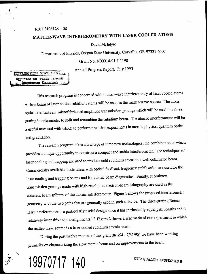### R&T 3108128---08

# **MATTER-WAVE INTERFEROMETRY WITH LASER COOLED ATOMS**

David Mclntyre

Department of Physics, Oregon State University, Corvallis, OR 97331-6507

Grant No: N00014-91-J-1198

Annual Progress Report, July 1995

# **DIFFILIEUTION STATEMENT M Approved** *te***r public releasss**

This research program is concerned with matter-wave interferometry of laser cooled atoms. A slow beam of laser cooled rubidium atoms will be used as the matter-wave source. The atom optical elements are microfabricated amplitude transmission gratings which will be used in a threegrating interferometer to split and recombine the rubidium beam. The atomic interferometer will be a useful new tool with which to perform precision experiments in atomic physics, quantum optics, and gravitation.

The research program takes advantage of three new technologies, the combination of which provides a unique opportunity to construct a compact and stable interferometer. The techniques of laser cooling and trapping are used to produce cold rubidium atoms in a well collimated beam. Commercially available diode lasers with optical feedback frequency stabilization are used for the laser cooling and trapping beams and for atomic beam diagnostics. Finally, submicron transmission gratings made with high-resolution electron-beam lithography are used as the coherent beam splitters of the atomic interferometer. Figure 1 shows the proposed interferometer geometry with the two paths that are generally used in such a device. The three-grating Bonse-Hart interferometer is a particularly useful design since it has intrinsically equal path lengths and is relatively insensitive to misalignments.<sup>1,2</sup> Figure 2 shows a schematic of our experiment in which the matter-wave source is a laser cooled rubidium atomic beam.

During the past twelve months of this grant (8/1/94 - 7/31/95) we have been working primarily on characterizing the slow atomic beam and on improvements to the beam.

**1QQ70717 140** *l* <sup>dTI@QUALITY INSPECTED 8</sub></sup>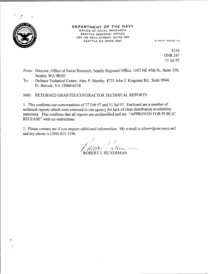

#### DEPARTMENT OF THE NAVY OFFICE OF NAVAL RESEARCH SEATTLE REGIONAL OFFICE 1107 NE 45TH STREET. SUITE 350 SEATTLE WA 98105-4631 IN REPLY REFER TO:

4330 ONR 247 11 Jul 97

- From: Director, Office of Naval Research, Seattle Regional Office, 1107 NE 45th St., Suite 350, Seattle, WA 98105
- To: Defense Technical Center, Atta: P. Mawby, 8725 John J. Kingman Rd., Suite 0944, Ft. Belvoir,VA 22060-6218

Subj: RETURNED GRANTEE/CONTRACTOR TECHNICAL REPORTS

1. This confirms our conversations of 27 Feb 97 and <sup>11</sup> Jul 97. Enclosed are a number of technical reports which were returned to our agency for lack of clear distribution availability statement. This confirms that all reports are unclassified and are "APPROVED FOR PUBLIC RELEASE" with no restrictions.

2. Please contact me if you require additional information. My e-mail is *silverr@onr.navy.mil* and my phone is (206) 625-3196.

*SALES* )<br>•Web 20 **/ •** *n,Ci<~<~* **<sup>v</sup>** ROBERT J. SILVERMAN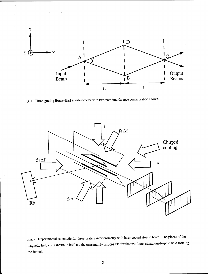

Fig. 1. Three-grating Bonse-Hart interferometer with two-path interference configuration shown.

 $\ddot{\phantom{0}}$ 



Fig. 2. Experimental schematic for three-grating interferometry with laser cooled atomic beam. The pieces of the magnetic field coils shown in bold are the ones mainly responsible for the two-dimensional quadrupole field forming the funnel.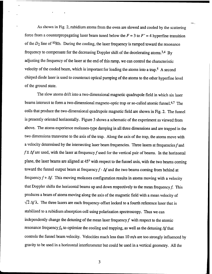As shown in Fig. 2, rubidium atoms from the oven are slowed and cooled by the scattering force from a counterpropagating laser beam tuned below the  $F = 3$  to  $F' = 4$  hyperfine transition of the  $D_2$  line of <sup>85</sup>Rb. During the cooling, the laser frequency is ramped toward the resonance frequency to compensate for the decreasing Doppler shift of the decelerating atoms.<sup>3,4</sup> By adjusting the frequency of the laser at the end of this ramp, we can control the characteristic velocity of the cooled beam, which is important for loading the atoms into a trap.<sup>5</sup> A second chirped diode laser is used to counteract optical pumping of the atoms to the other hyperfine level of the ground state.

The slow atoms drift into a two-dimensional magnetic quadrupole field in which six laser beams intersect to form a two-dimensional magneto-optic trap or so-called atomic funnel.<sup>6,7</sup> The coils that produce the two-dimensional quadrupole magnetic field are shown in Fig. 2. The funnel is presently oriented horizontally. Figure 3 shows a schematic of the experiment as viewed from above. The atoms experience molasses-type damping in all three dimensions and are trapped in the two dimensions transverse to the axis of the trap. Along the axis of the trap, the atoms move with a velocity determined by the intersecting laser beam frequencies. Three lasers at frequencies  $f$  and  $f \pm \Delta f$  are used, with the laser at frequency f used for the vertical pair of beams. In the horizontal plane, the laser beams are aligned at 45° with respect to the funnel axis, with the two beams coming toward the funnel output beam at frequency  $f - \Delta f$  and the two beams coming from behind at frequency  $f + \Delta f$ . This moving molasses configuration results in atoms moving with a velocity that Doppler shifts the horizontal beams up and down respectively to the mean frequency  $f$ . This produces a beam of atoms moving along the axis of the magnetic field with a mean velocity of  $\sqrt{2} \Delta f \lambda$ . The three lasers are each frequency-offset locked to a fourth reference laser that is stabilized to a rubidium absorption cell using polarization spectroscopy. Thus we can independently change the detuning of the mean laser frequency  $f$  with respect to the atomic resonance frequency  $f_0$  to optimize the cooling and trapping, as well as the detuning  $\Delta f$  that controls the funnel beam velocity. Velocities much less than 10 m/s are too strongly influenced by gravity to be used in a horizontal interferometer but could be used in a vertical geometry. All the

3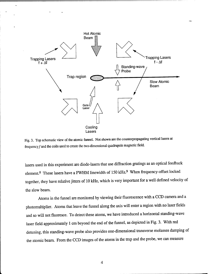

 $\overline{a}$ 

Fig. 3. Top schematic view of the atomic funnel. Not shown are the counterpropagating vertical lasers at frequency  $f$  and the coils used to create the two-dimensional quadrupole magnetic field.

lasers used in this experiment are diode-lasers that use diffraction gratings as an optical feedback element.<sup>8</sup> These lasers have a FWHM linewidth of 150 kHz.<sup>9</sup> When frequency-offset locked together, they have relative jitters of 10 kHz, which is very important for a well defined velocity of the slow beam.

Atoms in the funnel are monitored by viewing their fluorescence with a CCD camera and a photomultiplier. Atoms that leave the funnel along the axis will enter a region with no laser fields and so will not fluoresce. To detect these atoms, we have introduced a horizontal standing-wave laser field approximately <sup>1</sup> cm beyond the end of the funnel, as depicted in Fig. 3. With red detuning, this standing-wave probe also provides one-dimensional transverse molasses damping of the atomic beam. From the CCD images of the atoms in the trap and the probe, we can measure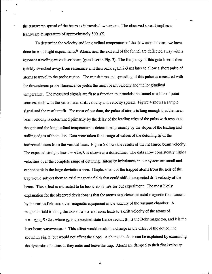the transverse spread of the beam as it travels downstream. The observed spread implies a transverse temperature of approximately 500  $\mu$ K.

To determine the velocity and longitudinal temperature of the slow atomic beam, we have done time-of-flight experiments.<sup>6</sup> Atoms near the exit end of the funnel are deflected away with <sup>a</sup> resonant traveling-wave laser beam (gate laser in Fig. 3). The frequency of this gate laser is then quickly switched away from resonance and then back again 2-3 ms later to allow a short pulse of atoms to travel to the probe region. The transit time and spreading of this pulse as measured with the downstream probe fluorescence yields the mean beam velocity and the longitudinal temperature. The measured signals are fit to a function that models the funnel as a line of point sources, each with the same mean drift velocity and velocity spread. Figure 4 shows a sample signal and the resultant fit. For most of our data, the pulse of atoms is long enough that the mean beam velocity is determined primarily by the delay of the leading edge of the pulse with respect to the gate and the longitudinal temperature is determined primarily by the slopes of the leading and trailing edges of the pulse. Data were taken for a range of values of the detuning  $\Delta f$  of the horizontal lasers from the vertical laser. Figure 5 shows the results of the measured beam velocity. The expected straight line  $v = \sqrt{2}\Delta f \lambda$  is shown as a dotted line. The data show consistently higher velocities over the complete range of detuning. Intensity imbalances in our system are small and cannot explain the large deviations seen. Displacement of the trapped atoms from the axis of the trap would subject them to axial magnetic fields that could shift the expected drift velocity of the beam. This effect is estimated to be less that 0.3 m/s for our experiment. The most likely explanation for the observed deviations is that the atoms experience an axial magnetic field caused by the earth's field and other magnetic equipment in the vicinity of the vacuum chamber. A magnetic field B along the axis of  $\sigma^+$ - $\sigma$  molasses leads to a drift velocity of the atoms of  $v = -g_e\mu_B B$  /  $\hbar k$ , where  $g_e$  is the excited state Lande factor,  $\mu_B$  is the Bohr magneton, and *k* is the laser beam wavevector.<sup>10</sup> This effect would result in a change in the offset of the dotted line shown in Fig. 5, but would not affect the slope. A change in slope can be explained by examining the dynamics of atoms as they enter and leave the trap. Atoms are damped to their final velocity

5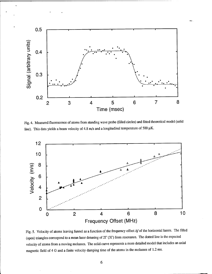

Fig. 4. Measured fluorescence of atoms from standing wave probe (filled circles) and fitted theoretical model (solid line). This data yields a beam velocity of 4.8 m/s and a longitudinal temperature of 500  $\mu$ K.



Fig. 5. Velocity of atoms leaving funnel as a function of the frequency offset  $\Delta f$  of the horizontal lasers. The filled (open) triangles correspond to a mean laser detuning of *IT* (3r) from resonance. The dotted line is the expected velocity of atoms from a moving molasses. The solid curve represents a more detailed model that includes an axial magnetic field of 4 G and a finite velocity damping time of the atoms in the molasses of 1.2 ms.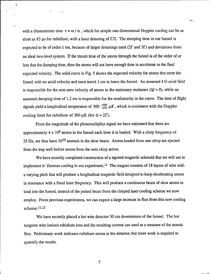with a characteristic time  $\tau = m / \alpha$ , which for simple one-dimensional Doppler cooling can be as short as 83  $\mu$ s for rubidium, with a laser detuning of  $\Gamma/2$ . The damping time in our funnel is expected to be of order <sup>1</sup> ms, because of larger detunings used (2T and *3T)* and deviations from an ideal two-level system. If the transit time of the atoms through the funnel is of the order of or less that the damping time, then the atoms will not have enough time to accelerate to the final expected velocity. The solid curve in Fig. 5 shows the expected velocity for atoms that enter the funnel with no axial velocity and must travel <sup>1</sup> cm to leave the funnel. An assumed 4 G axial field is responsible for the non-zero velocity of atoms in the stationary molasses ( $\Delta f = 0$ ), while an assumed damping time of 1.2 ms is responsible for the nonlinearity in the curve. The time of flight signals yield a longitudinal temperature of 500  $^{+500}_{-250} \mu K$ , which is consistent with the Doppler cooling limit for rubidium of 300  $\mu$ K (for  $\Delta = 2\Gamma$ ).

From the magnitude of the photomultiplier signal we have estimated that there are approximately  $4 \times 10^8$  atoms in the funnel each time it is loaded. With a chirp frequency of 25 Hz, we thus have  $10^{10}$  atoms/s in the slow beam. Atoms loaded from one chirp are ejected from the trap well before atoms from the next chirp arrive.

We have recently completed construction of a tapered magnetic solenoid that we will use to implement  $\sigma$  Zeeman cooling in our experiment.<sup>11</sup> The magnet consists of 18 layers of wire with a varying pitch that will produce a longitudinal magnetic field designed to keep decelerating atoms in resonance with a fixed laser frequency. This will produce a continuous beam of slow atoms to load into the funnel, instead of the pulsed beam from the chirped laser cooling scheme we now employ. From previous experiments, we can expect a large increase in flux from this new cooling scheme.<sup>11,12</sup>

We have recently placed a hot wire detector 30 cm downstream of the funnel. The hot tungsten wire ionizes rubidium ions and the resulting current can used as a measure of the atomic flux. Preliminary work indicates rubidium atoms at the detector, but more work is required to quantify the results.

7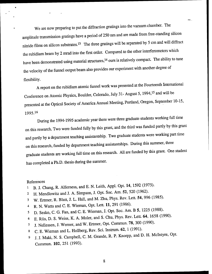We are now preparing to put the diffraction gratings into the vacuum chamber. The amplitude transmission gratings have a period of 250 nm and are made from free-standing silicon nitride films on silicon substrates.<sup>13</sup> The three gratings will be separated by 5 cm and will diffract the rubidium beam by 2 mrad into the first order. Compared to the other interferometers which have been demonstrated using material structures,<sup>14</sup> ours is relatively compact. The ability to tune the velocity of the funnel output beam also provides our experiment with another degree of flexibility.

A report on the rubidium atomic funnel work was presented at the Fourteenth International Conference on Atomic Physics, Boulder, Colorado, July 31- August 5, 1994,<sup>15</sup> and will be presented at the Optical Society of America Annual Meeting, Portland, Oregon, September 10-15, 1995.<sup>16</sup>

During the 1994-1995 academic year there were three graduate students working full time on this research. Two were funded fully by this grant, and the third was funded partly by this grant and partly by a department teaching assistantship. Two graduate students were working part time on this research, funded by department teaching assistantships. During this summer, three graduate students are working full time on this research. All are funded by this grant. One student has completed a Ph.D. thesis during the summer.

#### References

- i B. J. Chang, R. Alferness, and E. N. Leith, Appl. Opt. 14, 1592 (1975).
- 2 H. Mendlowitz and J. A. Simpson, J. Opt. Soc. Am. 52, 520 (1962).
- <sup>3</sup> W. Ertmer, R. Blatt, J. L. Hall, and M. Zhu, Phys. Rev. Lett. 54, 996 (1985).
- 4 R. N. Watts and C. E. Wieman, Opt. Lett. **11,** 291 (1986).
- 5 D. Sesko, C. G. Fan, and C. E. Wieman, J. Opt. Soc. Am. B 5, 1225 (1988).
- <sup>6</sup> E. Riis, D. S. Weiss, K. A. Moler, and S. Chu, Phys. Rev. Lett. 64, 1658 (1990).
- <sup>7</sup> J. Nellessen, J. Werner, and W. Ertmer, Opt. Commun. 78, 300 (1990).
- 8 C. E. Wieman and L. Hollberg, Rev. Sci. Instrum. 62, 1 (1991).
- <sup>9</sup> J. J. Maki, N. S. Campbell, C. M. Grande, R. P. Knorpp, and D. H. Mclntyre, Opt. Commun. **102,** 251 (1993).